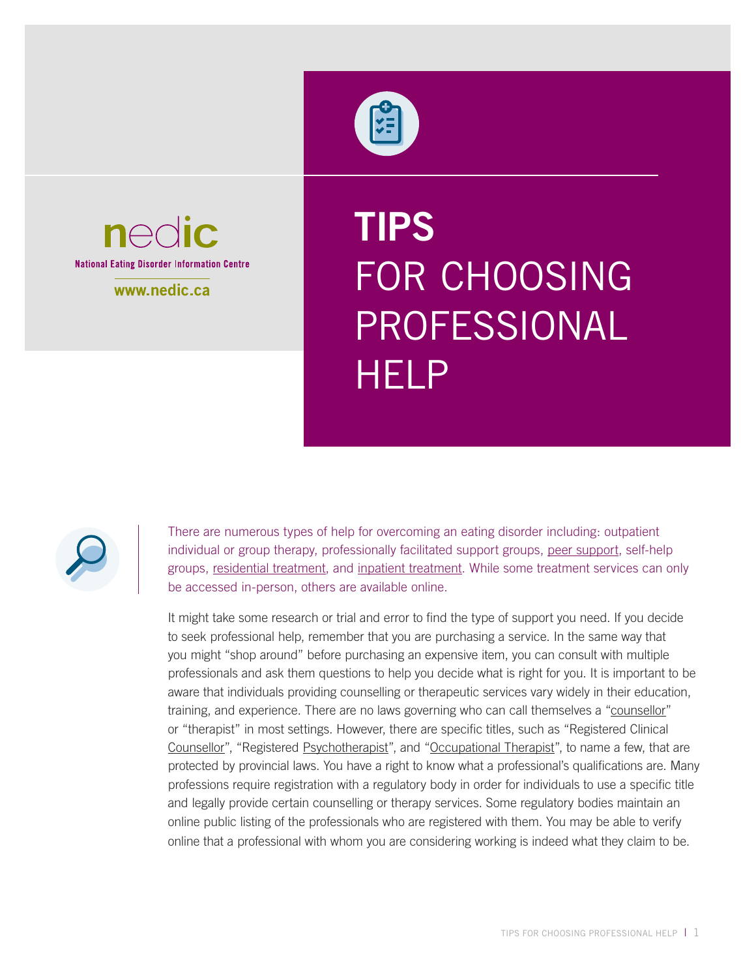



www.nedic.ca

# **TIPS**  FOR CHOOSING PROFESSIONAL **HELP**



There are numerous types of help for overcoming an eating disorder including: outpatient individual or group therapy, professionally facilitated support groups, [peer support](http://www.nedic.ca/eating-disorders-treatment/#pc_page_2329), self-help groups, [residential treatment,](http://www.nedic.ca/eating-disorders-treatment/#pc_page_136) and [inpatient treatment](http://www.nedic.ca/eating-disorders-treatment/#pc_page_179). While some treatment services can only be accessed in-person, others are available online.

It might take some research or trial and error to find the type of support you need. If you decide to seek professional help, remember that you are purchasing a service. In the same way that you might "shop around" before purchasing an expensive item, you can consult with multiple professionals and ask them questions to help you decide what is right for you. It is important to be aware that individuals providing counselling or therapeutic services vary widely in their education, training, and experience. There are no laws governing who can call themselves a ["counsellor](https://nedic.ca/eating-disorders-treatment/#pc_page_139)" or "therapist" in most settings. However, there are specific titles, such as "Registered Clinical [Counsellor"](https://nedic.ca/eating-disorders-treatment/#pc_page_139), "Registered [Psychotherapist"](https://nedic.ca/eating-disorders-treatment/#pc_page_186), and ["Occupational Therapist](https://nedic.ca/eating-disorders-treatment/#pc_page_183)", to name a few, that are protected by provincial laws. You have a right to know what a professional's qualifications are. Many professions require registration with a regulatory body in order for individuals to use a specific title and legally provide certain counselling or therapy services. Some regulatory bodies maintain an online public listing of the professionals who are registered with them. You may be able to verify online that a professional with whom you are considering working is indeed what they claim to be.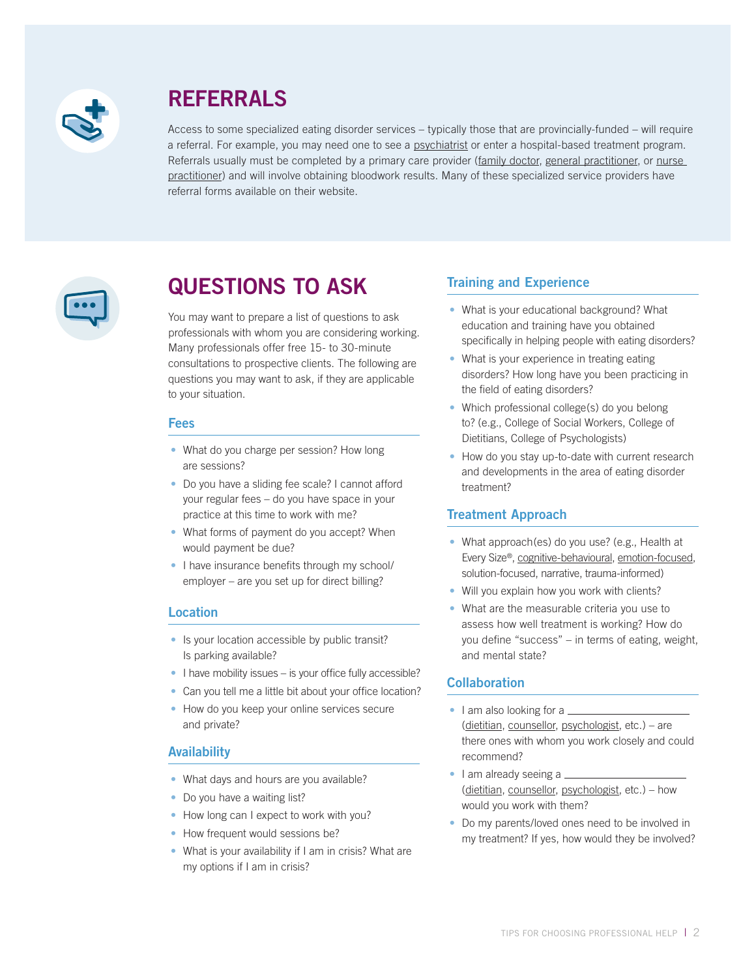

# **REFERRALS**

Access to some specialized eating disorder services – typically those that are provincially-funded – will require a referral. For example, you may need one to see a [psychiatrist](https://nedic.ca/eating-disorders-treatment/#pc_page_184) or enter a hospital-based treatment program. Referrals usually must be completed by a primary care provider ([family doctor,](https://nedic.ca/eating-disorders-treatment/#pc_page_181) [general practitioner](https://nedic.ca/eating-disorders-treatment/#pc_page_181), or nurse [practitioner\)](https://nedic.ca/eating-disorders-treatment/#pc_page_2067) and will involve obtaining bloodwork results. Many of these specialized service providers have referral forms available on their website.



# **QUESTIONS TO ASK**

You may want to prepare a list of questions to ask professionals with whom you are considering working. Many professionals offer free 15- to 30-minute consultations to prospective clients. The following are questions you may want to ask, if they are applicable to your situation.

#### **Fees**

- What do you charge per session? How long are sessions?
- Do you have a sliding fee scale? I cannot afford your regular fees – do you have space in your practice at this time to work with me?
- What forms of payment do you accept? When would payment be due?
- I have insurance benefits through my school/ employer – are you set up for direct billing?

## **Location**

- Is your location accessible by public transit? Is parking available?
- I have mobility issues is your office fully accessible?
- Can you tell me a little bit about your office location?
- How do you keep your online services secure and private?

## **Availability**

- What days and hours are you available?
- Do you have a waiting list?
- How long can I expect to work with you?
- How frequent would sessions be?
- What is your availability if I am in crisis? What are my options if I am in crisis?

# **Training and Experience**

- What is your educational background? What education and training have you obtained specifically in helping people with eating disorders?
- What is your experience in treating eating disorders? How long have you been practicing in the field of eating disorders?
- Which professional college(s) do you belong to? (e.g., College of Social Workers, College of Dietitians, College of Psychologists)
- How do you stay up-to-date with current research and developments in the area of eating disorder treatment?

## **Treatment Approach**

- What approach(es) do you use? (e.g., Health at Every Size®, [cognitive-behavioural,](https://nedic.ca/eating-disorders-treatment/#pc_page_2325) [emotion-focused](http://www.nedic.ca/eating-disorders-treatment/#pc_page_2327), solution-focused, narrative, trauma-informed)
- Will you explain how you work with clients?
- What are the measurable criteria you use to assess how well treatment is working? How do you define "success" – in terms of eating, weight, and mental state?

# **Collaboration**

- I am also looking for a  $\equiv$ [\(dietitian,](http://www.nedic.ca/eating-disorders-treatment/#pc_page_140) [counsellor,](https://nedic.ca/eating-disorders-treatment/) [psychologist](http://www.nedic.ca/eating-disorders-treatment/#pc_page_185), etc.) – are there ones with whom you work closely and could recommend?
- I am already seeing a \_ [\(dietitian,](http://www.nedic.ca/eating-disorders-treatment/#pc_page_140) [counsellor,](https://nedic.ca/eating-disorders-treatment/) [psychologist](http://www.nedic.ca/eating-disorders-treatment/#pc_page_185), etc.) – how would you work with them?
- Do my parents/loved ones need to be involved in my treatment? If yes, how would they be involved?